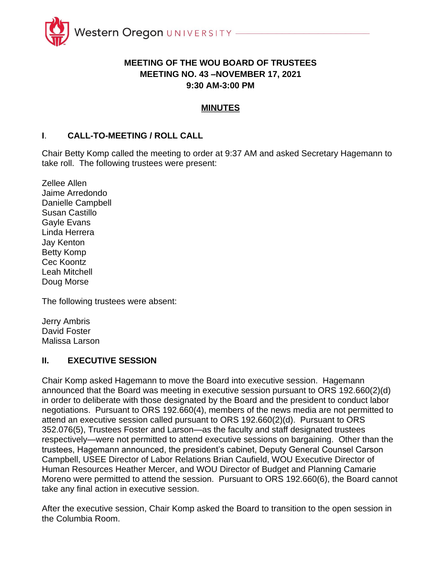

## **MEETING OF THE WOU BOARD OF TRUSTEES MEETING NO. 43 –NOVEMBER 17, 2021 9:30 AM-3:00 PM**

### **MINUTES**

### **I**. **CALL-TO-MEETING / ROLL CALL**

Chair Betty Komp called the meeting to order at 9:37 AM and asked Secretary Hagemann to take roll. The following trustees were present:

Zellee Allen Jaime Arredondo Danielle Campbell Susan Castillo Gayle Evans Linda Herrera Jay Kenton Betty Komp Cec Koontz Leah Mitchell Doug Morse

The following trustees were absent:

Jerry Ambris David Foster Malissa Larson

### **II. EXECUTIVE SESSION**

Chair Komp asked Hagemann to move the Board into executive session. Hagemann announced that the Board was meeting in executive session pursuant to ORS 192.660(2)(d) in order to deliberate with those designated by the Board and the president to conduct labor negotiations. Pursuant to ORS 192.660(4), members of the news media are not permitted to attend an executive session called pursuant to ORS 192.660(2)(d). Pursuant to ORS 352.076(5), Trustees Foster and Larson—as the faculty and staff designated trustees respectively—were not permitted to attend executive sessions on bargaining. Other than the trustees, Hagemann announced, the president's cabinet, Deputy General Counsel Carson Campbell, USEE Director of Labor Relations Brian Caufield, WOU Executive Director of Human Resources Heather Mercer, and WOU Director of Budget and Planning Camarie Moreno were permitted to attend the session. Pursuant to ORS 192.660(6), the Board cannot take any final action in executive session.

After the executive session, Chair Komp asked the Board to transition to the open session in the Columbia Room.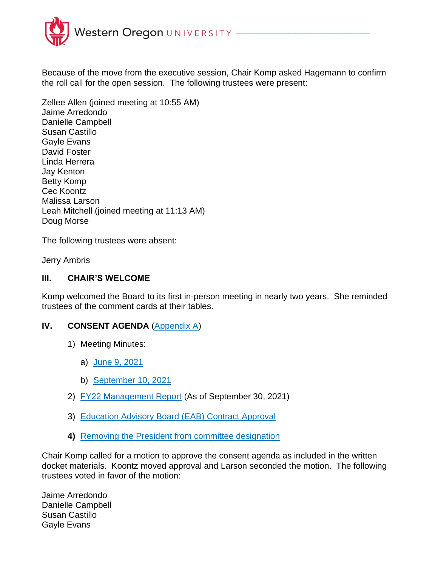

Because of the move from the executive session, Chair Komp asked Hagemann to confirm the roll call for the open session. The following trustees were present:

Zellee Allen (joined meeting at 10:55 AM) Jaime Arredondo Danielle Campbell Susan Castillo Gayle Evans David Foster Linda Herrera Jay Kenton Betty Komp Cec Koontz Malissa Larson Leah Mitchell (joined meeting at 11:13 AM) Doug Morse

The following trustees were absent:

Jerry Ambris

### **III. CHAIR'S WELCOME**

Komp welcomed the Board to its first in-person meeting in nearly two years. She reminded trustees of the comment cards at their tables.

### **IV. CONSENT AGENDA** (Appendix A)

- 1) Meeting Minutes:
	- a) June 9, 2021
	- b) September 10, 2021
- 2) FY22 Management Report (As of September 30, 2021)
- 3) Education Advisory Board (EAB) Contract Approval
- **4)** Removing the President from committee designation

Chair Komp called for a motion to approve the consent agenda as included in the written docket materials. Koontz moved approval and Larson seconded the motion. The following trustees voted in favor of the motion:

Jaime Arredondo Danielle Campbell Susan Castillo Gayle Evans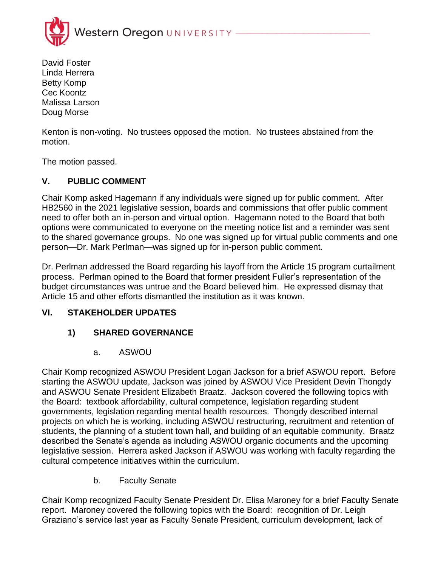

David Foster Linda Herrera Betty Komp Cec Koontz Malissa Larson Doug Morse

Kenton is non-voting. No trustees opposed the motion. No trustees abstained from the motion.

The motion passed.

## **V. PUBLIC COMMENT**

Chair Komp asked Hagemann if any individuals were signed up for public comment. After HB2560 in the 2021 legislative session, boards and commissions that offer public comment need to offer both an in-person and virtual option. Hagemann noted to the Board that both options were communicated to everyone on the meeting notice list and a reminder was sent to the shared governance groups. No one was signed up for virtual public comments and one person—Dr. Mark Perlman—was signed up for in-person public comment.

Dr. Perlman addressed the Board regarding his layoff from the Article 15 program curtailment process. Perlman opined to the Board that former president Fuller's representation of the budget circumstances was untrue and the Board believed him. He expressed dismay that Article 15 and other efforts dismantled the institution as it was known.

### **VI. STAKEHOLDER UPDATES**

## **1) SHARED GOVERNANCE**

a. ASWOU

Chair Komp recognized ASWOU President Logan Jackson for a brief ASWOU report. Before starting the ASWOU update, Jackson was joined by ASWOU Vice President Devin Thongdy and ASWOU Senate President Elizabeth Braatz. Jackson covered the following topics with the Board: textbook affordability, cultural competence, legislation regarding student governments, legislation regarding mental health resources. Thongdy described internal projects on which he is working, including ASWOU restructuring, recruitment and retention of students, the planning of a student town hall, and building of an equitable community. Braatz described the Senate's agenda as including ASWOU organic documents and the upcoming legislative session. Herrera asked Jackson if ASWOU was working with faculty regarding the cultural competence initiatives within the curriculum.

b. Faculty Senate

Chair Komp recognized Faculty Senate President Dr. Elisa Maroney for a brief Faculty Senate report. Maroney covered the following topics with the Board: recognition of Dr. Leigh Graziano's service last year as Faculty Senate President, curriculum development, lack of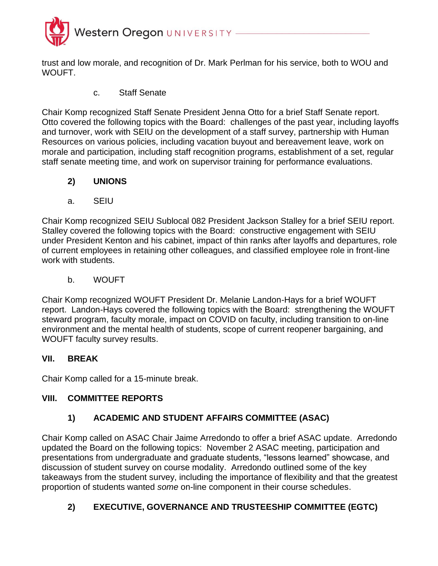

trust and low morale, and recognition of Dr. Mark Perlman for his service, both to WOU and WOUFT.

c. Staff Senate

Chair Komp recognized Staff Senate President Jenna Otto for a brief Staff Senate report. Otto covered the following topics with the Board: challenges of the past year, including layoffs and turnover, work with SEIU on the development of a staff survey, partnership with Human Resources on various policies, including vacation buyout and bereavement leave, work on morale and participation, including staff recognition programs, establishment of a set, regular staff senate meeting time, and work on supervisor training for performance evaluations.

## **2) UNIONS**

a. SEIU

Chair Komp recognized SEIU Sublocal 082 President Jackson Stalley for a brief SEIU report. Stalley covered the following topics with the Board: constructive engagement with SEIU under President Kenton and his cabinet, impact of thin ranks after layoffs and departures, role of current employees in retaining other colleagues, and classified employee role in front-line work with students.

b. WOUFT

Chair Komp recognized WOUFT President Dr. Melanie Landon-Hays for a brief WOUFT report. Landon-Hays covered the following topics with the Board: strengthening the WOUFT steward program, faculty morale, impact on COVID on faculty, including transition to on-line environment and the mental health of students, scope of current reopener bargaining, and WOUFT faculty survey results.

## **VII. BREAK**

Chair Komp called for a 15-minute break.

## **VIII. COMMITTEE REPORTS**

# **1) ACADEMIC AND STUDENT AFFAIRS COMMITTEE (ASAC)**

Chair Komp called on ASAC Chair Jaime Arredondo to offer a brief ASAC update. Arredondo updated the Board on the following topics: November 2 ASAC meeting, participation and presentations from undergraduate and graduate students, "lessons learned" showcase, and discussion of student survey on course modality. Arredondo outlined some of the key takeaways from the student survey, including the importance of flexibility and that the greatest proportion of students wanted *some* on-line component in their course schedules.

# **2) EXECUTIVE, GOVERNANCE AND TRUSTEESHIP COMMITTEE (EGTC)**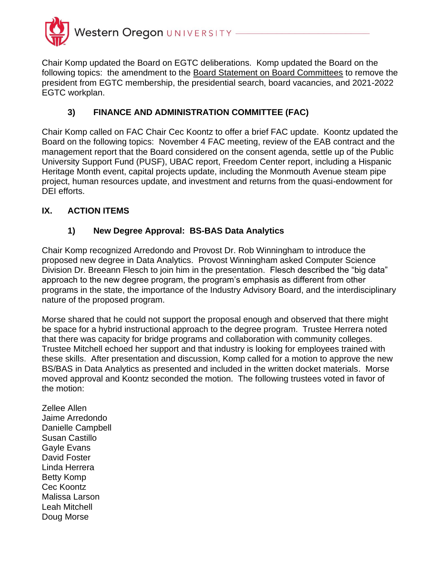

Chair Komp updated the Board on EGTC deliberations. Komp updated the Board on the following topics: the amendment to the Board Statement on Board Committees to remove the president from EGTC membership, the presidential search, board vacancies, and 2021-2022 EGTC workplan.

# **3) FINANCE AND ADMINISTRATION COMMITTEE (FAC)**

Chair Komp called on FAC Chair Cec Koontz to offer a brief FAC update. Koontz updated the Board on the following topics: November 4 FAC meeting, review of the EAB contract and the management report that the Board considered on the consent agenda, settle up of the Public University Support Fund (PUSF), UBAC report, Freedom Center report, including a Hispanic Heritage Month event, capital projects update, including the Monmouth Avenue steam pipe project, human resources update, and investment and returns from the quasi-endowment for DEI efforts.

## **IX. ACTION ITEMS**

## **1) New Degree Approval: BS-BAS Data Analytics**

Chair Komp recognized Arredondo and Provost Dr. Rob Winningham to introduce the proposed new degree in Data Analytics. Provost Winningham asked Computer Science Division Dr. Breeann Flesch to join him in the presentation. Flesch described the "big data" approach to the new degree program, the program's emphasis as different from other programs in the state, the importance of the Industry Advisory Board, and the interdisciplinary nature of the proposed program.

Morse shared that he could not support the proposal enough and observed that there might be space for a hybrid instructional approach to the degree program. Trustee Herrera noted that there was capacity for bridge programs and collaboration with community colleges. Trustee Mitchell echoed her support and that industry is looking for employees trained with these skills. After presentation and discussion, Komp called for a motion to approve the new BS/BAS in Data Analytics as presented and included in the written docket materials. Morse moved approval and Koontz seconded the motion. The following trustees voted in favor of the motion:

Zellee Allen Jaime Arredondo Danielle Campbell Susan Castillo Gayle Evans David Foster Linda Herrera Betty Komp Cec Koontz Malissa Larson Leah Mitchell Doug Morse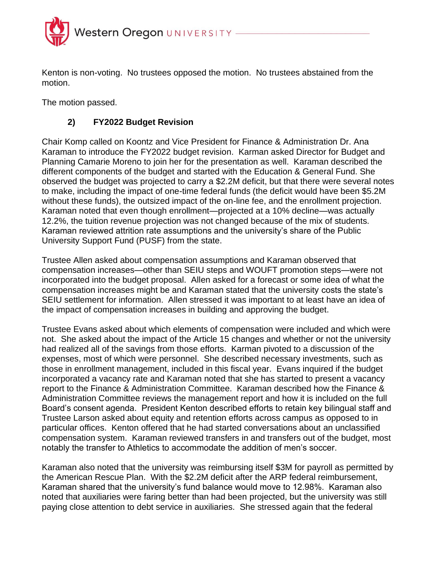

Kenton is non-voting. No trustees opposed the motion. No trustees abstained from the motion.

The motion passed.

# **2) FY2022 Budget Revision**

Chair Komp called on Koontz and Vice President for Finance & Administration Dr. Ana Karaman to introduce the FY2022 budget revision. Karman asked Director for Budget and Planning Camarie Moreno to join her for the presentation as well. Karaman described the different components of the budget and started with the Education & General Fund. She observed the budget was projected to carry a \$2.2M deficit, but that there were several notes to make, including the impact of one-time federal funds (the deficit would have been \$5.2M without these funds), the outsized impact of the on-line fee, and the enrollment projection. Karaman noted that even though enrollment—projected at a 10% decline—was actually 12.2%, the tuition revenue projection was not changed because of the mix of students. Karaman reviewed attrition rate assumptions and the university's share of the Public University Support Fund (PUSF) from the state.

Trustee Allen asked about compensation assumptions and Karaman observed that compensation increases—other than SEIU steps and WOUFT promotion steps—were not incorporated into the budget proposal. Allen asked for a forecast or some idea of what the compensation increases might be and Karaman stated that the university costs the state's SEIU settlement for information. Allen stressed it was important to at least have an idea of the impact of compensation increases in building and approving the budget.

Trustee Evans asked about which elements of compensation were included and which were not. She asked about the impact of the Article 15 changes and whether or not the university had realized all of the savings from those efforts. Karman pivoted to a discussion of the expenses, most of which were personnel. She described necessary investments, such as those in enrollment management, included in this fiscal year. Evans inquired if the budget incorporated a vacancy rate and Karaman noted that she has started to present a vacancy report to the Finance & Administration Committee. Karaman described how the Finance & Administration Committee reviews the management report and how it is included on the full Board's consent agenda. President Kenton described efforts to retain key bilingual staff and Trustee Larson asked about equity and retention efforts across campus as opposed to in particular offices. Kenton offered that he had started conversations about an unclassified compensation system. Karaman reviewed transfers in and transfers out of the budget, most notably the transfer to Athletics to accommodate the addition of men's soccer.

Karaman also noted that the university was reimbursing itself \$3M for payroll as permitted by the American Rescue Plan. With the \$2.2M deficit after the ARP federal reimbursement, Karaman shared that the university's fund balance would move to 12.98%. Karaman also noted that auxiliaries were faring better than had been projected, but the university was still paying close attention to debt service in auxiliaries. She stressed again that the federal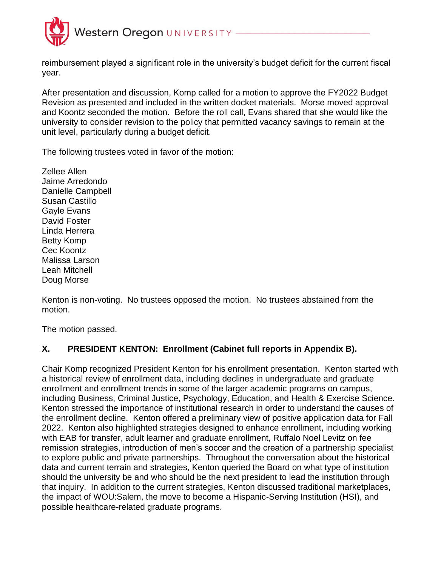

reimbursement played a significant role in the university's budget deficit for the current fiscal year.

After presentation and discussion, Komp called for a motion to approve the FY2022 Budget Revision as presented and included in the written docket materials. Morse moved approval and Koontz seconded the motion. Before the roll call, Evans shared that she would like the university to consider revision to the policy that permitted vacancy savings to remain at the unit level, particularly during a budget deficit.

The following trustees voted in favor of the motion:

Zellee Allen Jaime Arredondo Danielle Campbell Susan Castillo Gayle Evans David Foster Linda Herrera Betty Komp Cec Koontz Malissa Larson Leah Mitchell Doug Morse

Kenton is non-voting. No trustees opposed the motion. No trustees abstained from the motion.

The motion passed.

## **X. PRESIDENT KENTON: Enrollment (Cabinet full reports in Appendix B).**

Chair Komp recognized President Kenton for his enrollment presentation. Kenton started with a historical review of enrollment data, including declines in undergraduate and graduate enrollment and enrollment trends in some of the larger academic programs on campus, including Business, Criminal Justice, Psychology, Education, and Health & Exercise Science. Kenton stressed the importance of institutional research in order to understand the causes of the enrollment decline. Kenton offered a preliminary view of positive application data for Fall 2022. Kenton also highlighted strategies designed to enhance enrollment, including working with EAB for transfer, adult learner and graduate enrollment, Ruffalo Noel Levitz on fee remission strategies, introduction of men's soccer and the creation of a partnership specialist to explore public and private partnerships. Throughout the conversation about the historical data and current terrain and strategies, Kenton queried the Board on what type of institution should the university be and who should be the next president to lead the institution through that inquiry. In addition to the current strategies, Kenton discussed traditional marketplaces, the impact of WOU:Salem, the move to become a Hispanic-Serving Institution (HSI), and possible healthcare-related graduate programs.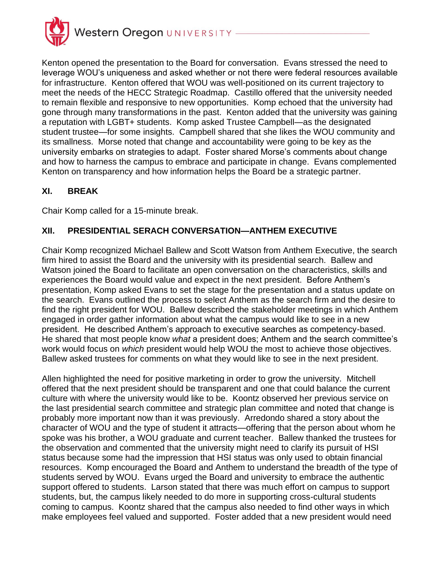

Kenton opened the presentation to the Board for conversation. Evans stressed the need to leverage WOU's uniqueness and asked whether or not there were federal resources available for infrastructure. Kenton offered that WOU was well-positioned on its current trajectory to meet the needs of the HECC Strategic Roadmap. Castillo offered that the university needed to remain flexible and responsive to new opportunities. Komp echoed that the university had gone through many transformations in the past. Kenton added that the university was gaining a reputation with LGBT+ students. Komp asked Trustee Campbell—as the designated student trustee—for some insights. Campbell shared that she likes the WOU community and its smallness. Morse noted that change and accountability were going to be key as the university embarks on strategies to adapt. Foster shared Morse's comments about change and how to harness the campus to embrace and participate in change. Evans complemented Kenton on transparency and how information helps the Board be a strategic partner.

## **XI. BREAK**

Chair Komp called for a 15-minute break.

## **XII. PRESIDENTIAL SERACH CONVERSATION—ANTHEM EXECUTIVE**

Chair Komp recognized Michael Ballew and Scott Watson from Anthem Executive, the search firm hired to assist the Board and the university with its presidential search. Ballew and Watson joined the Board to facilitate an open conversation on the characteristics, skills and experiences the Board would value and expect in the next president. Before Anthem's presentation, Komp asked Evans to set the stage for the presentation and a status update on the search. Evans outlined the process to select Anthem as the search firm and the desire to find the right president for WOU. Ballew described the stakeholder meetings in which Anthem engaged in order gather information about what the campus would like to see in a new president. He described Anthem's approach to executive searches as competency-based. He shared that most people know *what* a president does; Anthem and the search committee's work would focus on *which* president would help WOU the most to achieve those objectives. Ballew asked trustees for comments on what they would like to see in the next president.

Allen highlighted the need for positive marketing in order to grow the university. Mitchell offered that the next president should be transparent and one that could balance the current culture with where the university would like to be. Koontz observed her previous service on the last presidential search committee and strategic plan committee and noted that change is probably more important now than it was previously. Arredondo shared a story about the character of WOU and the type of student it attracts—offering that the person about whom he spoke was his brother, a WOU graduate and current teacher. Ballew thanked the trustees for the observation and commented that the university might need to clarify its pursuit of HSI status because some had the impression that HSI status was only used to obtain financial resources. Komp encouraged the Board and Anthem to understand the breadth of the type of students served by WOU. Evans urged the Board and university to embrace the authentic support offered to students. Larson stated that there was much effort on campus to support students, but, the campus likely needed to do more in supporting cross-cultural students coming to campus. Koontz shared that the campus also needed to find other ways in which make employees feel valued and supported. Foster added that a new president would need